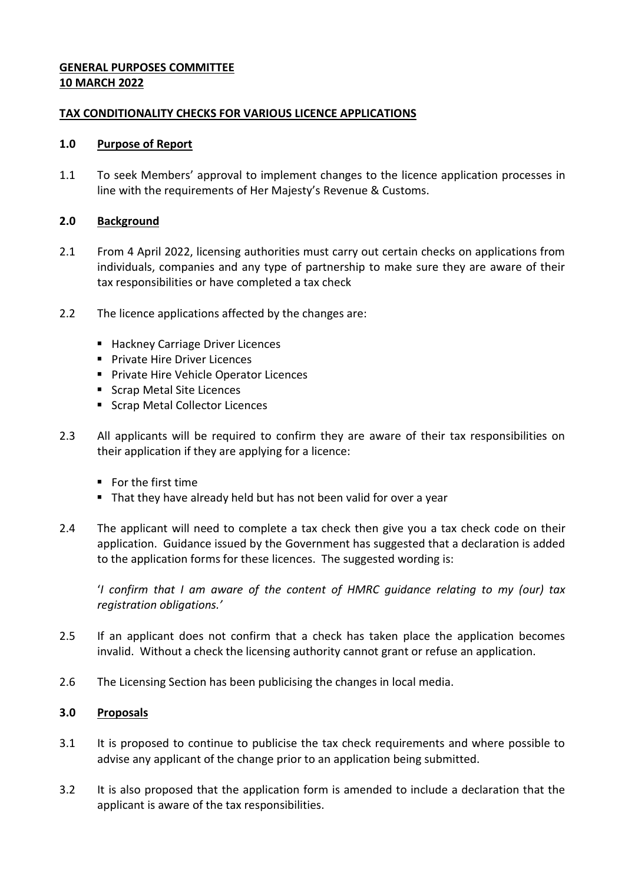# **GENERAL PURPOSES COMMITTEE 10 MARCH 2022**

# **TAX CONDITIONALITY CHECKS FOR VARIOUS LICENCE APPLICATIONS**

# **1.0 Purpose of Report**

1.1 To seek Members' approval to implement changes to the licence application processes in line with the requirements of Her Majesty's Revenue & Customs.

# **2.0 Background**

- 2.1 From 4 April 2022, licensing authorities must carry out certain checks on applications from individuals, companies and any type of partnership to make sure they are aware of their tax responsibilities or have completed a tax check
- 2.2 The licence applications affected by the changes are:
	- Hackney Carriage Driver Licences
	- **Private Hire Driver Licences**
	- **Private Hire Vehicle Operator Licences**
	- Scrap Metal Site Licences
	- Scrap Metal Collector Licences
- 2.3 All applicants will be required to confirm they are aware of their tax responsibilities on their application if they are applying for a licence:
	- For the first time
	- That they have already held but has not been valid for over a year
- 2.4 The applicant will need to complete a tax check then give you a tax check code on their application. Guidance issued by the Government has suggested that a declaration is added to the application forms for these licences. The suggested wording is:

'*I confirm that I am aware of the content of HMRC guidance relating to my (our) tax registration obligations.'*

- 2.5 If an applicant does not confirm that a check has taken place the application becomes invalid. Without a check the licensing authority cannot grant or refuse an application.
- 2.6 The Licensing Section has been publicising the changes in local media.

# **3.0 Proposals**

- 3.1 It is proposed to continue to publicise the tax check requirements and where possible to advise any applicant of the change prior to an application being submitted.
- 3.2 It is also proposed that the application form is amended to include a declaration that the applicant is aware of the tax responsibilities.